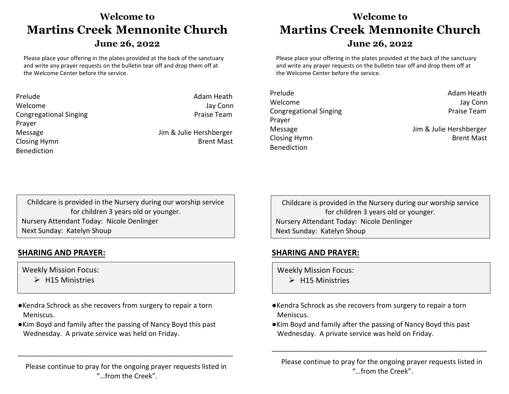# **Welcome to Martins Creek****Mennonite Church** **June 26, 2022**

Please place your offering in the plates provided at the back of the sanctuary and write any prayer requests on the bulletin tear off and drop them off at the Welcome Center before the service.

| Prelude                       | Adam Heath              |
|-------------------------------|-------------------------|
| Welcome                       | Jay Conn                |
| <b>Congregational Singing</b> | Praise Team             |
| Prayer                        |                         |
| Message                       | Jim & Julie Hershberger |
| Closing Hymn                  | <b>Brent Mast</b>       |
| <b>Benediction</b>            |                         |

# **Welcome to Martins Creek****Mennonite Church**

#### **June 26, 2022**

Please place your offering in the plates provided at the back of the sanctuary and write any prayer requests on the bulletin tear off and drop them off at the Welcome Center before the service.

| Prelude                       |  |
|-------------------------------|--|
| Welcome                       |  |
| <b>Congregational Singing</b> |  |
| Prayer                        |  |
| Message                       |  |
| <b>Closing Hymn</b>           |  |
| Benediction                   |  |
|                               |  |

Adam Heath Jay Conn Praise Team

Jim & Julie Hershberger **Brent Mast** 

Childcare is provided in the Nursery during our worship service for children 3 years old or younger. Nursery Attendant Today: Nicole Denlinger Next Sunday: Katelyn Shoup

### **SHARING AND PRAYER:**

Weekly Mission Focus:

- $\triangleright$  H15 Ministries
- ●Kendra Schrock as she recovers from surgery to repair a torn Meniscus.
- ●Kim Boyd and family after the passing of Nancy Boyd this past Wednesday. A private service was held on Friday.

Please continue to pray for the ongoing prayer requests listed in "…from the Creek".

\_\_\_\_\_\_\_\_\_\_\_\_\_\_\_\_\_\_\_\_\_\_\_\_\_\_\_\_\_\_\_\_\_\_\_\_\_\_\_\_\_\_\_\_\_\_\_\_\_\_\_\_\_\_\_\_

Childcare is provided in the Nursery during our worship service for children 3 years old or younger. Nursery Attendant Today: Nicole Denlinger Next Sunday: Katelyn Shoup

## **SHARING AND PRAYER:**

Weekly Mission Focus:

- $\triangleright$  H15 Ministries
- ●Kendra Schrock as she recovers from surgery to repair a torn Meniscus.
- ●Kim Boyd and family after the passing of Nancy Boyd this past Wednesday. A private service was held on Friday.

Please continue to pray for the ongoing prayer requests listed in "…from the Creek".

\_\_\_\_\_\_\_\_\_\_\_\_\_\_\_\_\_\_\_\_\_\_\_\_\_\_\_\_\_\_\_\_\_\_\_\_\_\_\_\_\_\_\_\_\_\_\_\_\_\_\_\_\_\_\_\_